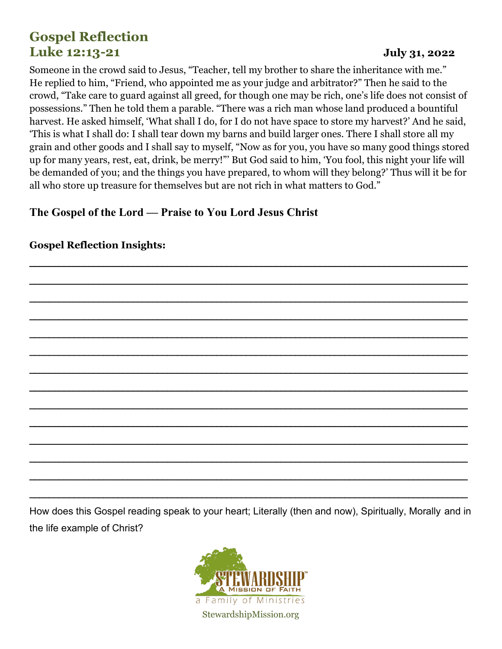# **Gospel Reflection Luke 12:13-21 July 31, 2022**

Someone in the crowd said to Jesus, "Teacher, tell my brother to share the inheritance with me." He replied to him, "Friend, who appointed me as your judge and arbitrator?" Then he said to the crowd, "Take care to guard against all greed, for though one may be rich, one's life does not consist of possessions." Then he told them a parable. "There was a rich man whose land produced a bountiful harvest. He asked himself, 'What shall I do, for I do not have space to store my harvest?' And he said, 'This is what I shall do: I shall tear down my barns and build larger ones. There I shall store all my grain and other goods and I shall say to myself, "Now as for you, you have so many good things stored up for many years, rest, eat, drink, be merry!"' But God said to him, 'You fool, this night your life will be demanded of you; and the things you have prepared, to whom will they belong?' Thus will it be for all who store up treasure for themselves but are not rich in what matters to God."

### **The Gospel of the Lord — Praise to You Lord Jesus Christ**

# \_\_\_\_\_\_\_\_\_\_\_\_\_\_\_\_\_\_\_\_\_\_\_\_\_\_\_\_\_\_\_\_\_\_\_\_\_\_\_\_\_\_\_\_\_\_\_\_\_\_\_\_\_\_\_\_\_\_\_\_\_\_\_\_\_\_\_\_\_\_\_\_\_\_\_\_\_\_\_\_\_\_\_\_\_\_\_\_\_ \_\_\_\_\_\_\_\_\_\_\_\_\_\_\_\_\_\_\_\_\_\_\_\_\_\_\_\_\_\_\_\_\_\_\_\_\_\_\_\_\_\_\_\_\_\_\_\_\_\_\_\_\_\_\_\_\_\_\_\_\_\_\_\_\_\_\_\_\_\_\_\_\_\_\_\_\_\_\_\_\_\_\_\_\_\_\_\_\_ \_\_\_\_\_\_\_\_\_\_\_\_\_\_\_\_\_\_\_\_\_\_\_\_\_\_\_\_\_\_\_\_\_\_\_\_\_\_\_\_\_\_\_\_\_\_\_\_\_\_\_\_\_\_\_\_\_\_\_\_\_\_\_\_\_\_\_\_\_\_\_\_\_\_\_\_\_\_\_\_\_\_\_\_\_\_\_\_\_ \_\_\_\_\_\_\_\_\_\_\_\_\_\_\_\_\_\_\_\_\_\_\_\_\_\_\_\_\_\_\_\_\_\_\_\_\_\_\_\_\_\_\_\_\_\_\_\_\_\_\_\_\_\_\_\_\_\_\_\_\_\_\_\_\_\_\_\_\_\_\_\_\_\_\_\_\_\_\_\_\_\_\_\_\_\_\_\_\_ \_\_\_\_\_\_\_\_\_\_\_\_\_\_\_\_\_\_\_\_\_\_\_\_\_\_\_\_\_\_\_\_\_\_\_\_\_\_\_\_\_\_\_\_\_\_\_\_\_\_\_\_\_\_\_\_\_\_\_\_\_\_\_\_\_\_\_\_\_\_\_\_\_\_\_\_\_\_\_\_\_\_\_\_\_\_\_\_\_ \_\_\_\_\_\_\_\_\_\_\_\_\_\_\_\_\_\_\_\_\_\_\_\_\_\_\_\_\_\_\_\_\_\_\_\_\_\_\_\_\_\_\_\_\_\_\_\_\_\_\_\_\_\_\_\_\_\_\_\_\_\_\_\_\_\_\_\_\_\_\_\_\_\_\_\_\_\_\_\_\_\_\_\_\_\_\_\_\_ \_\_\_\_\_\_\_\_\_\_\_\_\_\_\_\_\_\_\_\_\_\_\_\_\_\_\_\_\_\_\_\_\_\_\_\_\_\_\_\_\_\_\_\_\_\_\_\_\_\_\_\_\_\_\_\_\_\_\_\_\_\_\_\_\_\_\_\_\_\_\_\_\_\_\_\_\_\_\_\_\_\_\_\_\_\_\_\_\_ \_\_\_\_\_\_\_\_\_\_\_\_\_\_\_\_\_\_\_\_\_\_\_\_\_\_\_\_\_\_\_\_\_\_\_\_\_\_\_\_\_\_\_\_\_\_\_\_\_\_\_\_\_\_\_\_\_\_\_\_\_\_\_\_\_\_\_\_\_\_\_\_\_\_\_\_\_\_\_\_\_\_\_\_\_\_\_\_\_ \_\_\_\_\_\_\_\_\_\_\_\_\_\_\_\_\_\_\_\_\_\_\_\_\_\_\_\_\_\_\_\_\_\_\_\_\_\_\_\_\_\_\_\_\_\_\_\_\_\_\_\_\_\_\_\_\_\_\_\_\_\_\_\_\_\_\_\_\_\_\_\_\_\_\_\_\_\_\_\_\_\_\_\_\_\_\_\_\_ \_\_\_\_\_\_\_\_\_\_\_\_\_\_\_\_\_\_\_\_\_\_\_\_\_\_\_\_\_\_\_\_\_\_\_\_\_\_\_\_\_\_\_\_\_\_\_\_\_\_\_\_\_\_\_\_\_\_\_\_\_\_\_\_\_\_\_\_\_\_\_\_\_\_\_\_\_\_\_\_\_\_\_\_\_\_\_\_\_ \_\_\_\_\_\_\_\_\_\_\_\_\_\_\_\_\_\_\_\_\_\_\_\_\_\_\_\_\_\_\_\_\_\_\_\_\_\_\_\_\_\_\_\_\_\_\_\_\_\_\_\_\_\_\_\_\_\_\_\_\_\_\_\_\_\_\_\_\_\_\_\_\_\_\_\_\_\_\_\_\_\_\_\_\_\_\_\_\_ \_\_\_\_\_\_\_\_\_\_\_\_\_\_\_\_\_\_\_\_\_\_\_\_\_\_\_\_\_\_\_\_\_\_\_\_\_\_\_\_\_\_\_\_\_\_\_\_\_\_\_\_\_\_\_\_\_\_\_\_\_\_\_\_\_\_\_\_\_\_\_\_\_\_\_\_\_\_\_\_\_\_\_\_\_\_\_\_\_ \_\_\_\_\_\_\_\_\_\_\_\_\_\_\_\_\_\_\_\_\_\_\_\_\_\_\_\_\_\_\_\_\_\_\_\_\_\_\_\_\_\_\_\_\_\_\_\_\_\_\_\_\_\_\_\_\_\_\_\_\_\_\_\_\_\_\_\_\_\_\_\_\_\_\_\_\_\_\_\_\_\_\_\_\_\_\_\_\_

#### **Gospel Reflection Insights:**

How does this Gospel reading speak to your heart; Literally (then and now), Spiritually, Morally and in the life example of Christ?

\_\_\_\_\_\_\_\_\_\_\_\_\_\_\_\_\_\_\_\_\_\_\_\_\_\_\_\_\_\_\_\_\_\_\_\_\_\_\_\_\_\_\_\_\_\_\_\_\_\_\_\_\_\_\_\_\_\_\_\_\_\_\_\_\_\_\_\_\_\_\_\_\_\_\_\_\_\_\_\_\_\_\_\_\_\_\_\_\_